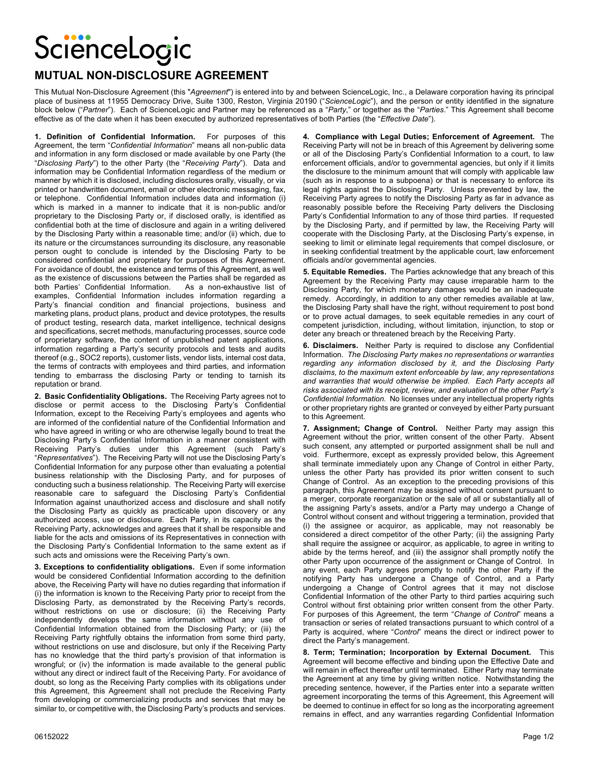## ScienceLogic

## **MUTUAL NON-DISCLOSURE AGREEMENT**

This Mutual Non-Disclosure Agreement (this "*Agreement*") is entered into by and between ScienceLogic, Inc., a Delaware corporation having its principal place of business at 11955 Democracy Drive, Suite 1300, Reston, Virginia 20190 ("*ScienceLogic*"), and the person or entity identified in the signature block below ("*Partner*"). Each of ScienceLogic and Partner may be referenced as a "*Party*," or together as the "*Parties*." This Agreement shall become effective as of the date when it has been executed by authorized representatives of both Parties (the "*Effective Date*").

**1. Definition of Confidential Information.** For purposes of this Agreement, the term "*Confidential Information*" means all non-public data and information in any form disclosed or made available by one Party (the "*Disclosing Party*") to the other Party (the "*Receiving Party*"). Data and information may be Confidential Information regardless of the medium or manner by which it is disclosed, including disclosures orally, visually, or via printed or handwritten document, email or other electronic messaging, fax, or telephone. Confidential Information includes data and information (i) which is marked in a manner to indicate that it is non-public and/or proprietary to the Disclosing Party or, if disclosed orally, is identified as confidential both at the time of disclosure and again in a writing delivered by the Disclosing Party within a reasonable time; and/or (ii) which, due to its nature or the circumstances surrounding its disclosure, any reasonable person ought to conclude is intended by the Disclosing Party to be considered confidential and proprietary for purposes of this Agreement. For avoidance of doubt, the existence and terms of this Agreement, as well as the existence of discussions between the Parties shall be regarded as both Parties' Confidential Information. As a non-exhaustive list of examples, Confidential Information includes information regarding a Party's financial condition and financial projections, business and marketing plans, product plans, product and device prototypes, the results of product testing, research data, market intelligence, technical designs and specifications, secret methods, manufacturing processes, source code of proprietary software, the content of unpublished patent applications, information regarding a Party's security protocols and tests and audits thereof (e.g., SOC2 reports), customer lists, vendor lists, internal cost data, the terms of contracts with employees and third parties, and information tending to embarrass the disclosing Party or tending to tarnish its reputation or brand.

**2. Basic Confidentiality Obligations.** The Receiving Party agrees not to disclose or permit access to the Disclosing Party's Confidential Information, except to the Receiving Party's employees and agents who are informed of the confidential nature of the Confidential Information and who have agreed in writing or who are otherwise legally bound to treat the Disclosing Party's Confidential Information in a manner consistent with Receiving Party's duties under this Agreement (such Party's "*Representatives*"). The Receiving Party will not use the Disclosing Party's Confidential Information for any purpose other than evaluating a potential business relationship with the Disclosing Party, and for purposes of conducting such a business relationship. The Receiving Party will exercise reasonable care to safeguard the Disclosing Party's Confidential Information against unauthorized access and disclosure and shall notify the Disclosing Party as quickly as practicable upon discovery or any authorized access, use or disclosure. Each Party, in its capacity as the Receiving Party, acknowledges and agrees that it shall be responsible and liable for the acts and omissions of its Representatives in connection with the Disclosing Party's Confidential Information to the same extent as if such acts and omissions were the Receiving Party's own.

**3. Exceptions to confidentiality obligations.** Even if some information would be considered Confidential Information according to the definition above, the Receiving Party will have no duties regarding that information if (i) the information is known to the Receiving Party prior to receipt from the Disclosing Party, as demonstrated by the Receiving Party's records, without restrictions on use or disclosure; (ii) the Receiving Party independently develops the same information without any use of Confidential Information obtained from the Disclosing Party; or (iii) the Receiving Party rightfully obtains the information from some third party, without restrictions on use and disclosure, but only if the Receiving Party has no knowledge that the third party's provision of that information is wrongful; or (iv) the information is made available to the general public without any direct or indirect fault of the Receiving Party. For avoidance of doubt, so long as the Receiving Party complies with its obligations under this Agreement, this Agreement shall not preclude the Receiving Party from developing or commercializing products and services that may be similar to, or competitive with, the Disclosing Party's products and services.

**4. Compliance with Legal Duties; Enforcement of Agreement.** The Receiving Party will not be in breach of this Agreement by delivering some or all of the Disclosing Party's Confidential Information to a court, to law enforcement officials, and/or to governmental agencies, but only if it limits the disclosure to the minimum amount that will comply with applicable law (such as in response to a subpoena) or that is necessary to enforce its legal rights against the Disclosing Party. Unless prevented by law, the Receiving Party agrees to notify the Disclosing Party as far in advance as reasonably possible before the Receiving Party delivers the Disclosing Party's Confidential Information to any of those third parties. If requested by the Disclosing Party, and if permitted by law, the Receiving Party will cooperate with the Disclosing Party, at the Disclosing Party's expense, in seeking to limit or eliminate legal requirements that compel disclosure, or in seeking confidential treatment by the applicable court, law enforcement officials and/or governmental agencies.

**5. Equitable Remedies.** The Parties acknowledge that any breach of this Agreement by the Receiving Party may cause irreparable harm to the Disclosing Party, for which monetary damages would be an inadequate remedy. Accordingly, in addition to any other remedies available at law, the Disclosing Party shall have the right, without requirement to post bond or to prove actual damages, to seek equitable remedies in any court of competent jurisdiction, including, without limitation, injunction, to stop or deter any breach or threatened breach by the Receiving Party.

**6. Disclaimers.** Neither Party is required to disclose any Confidential Information. *The Disclosing Party makes no representations or warranties regarding any information disclosed by it, and the Disclosing Party disclaims, to the maximum extent enforceable by law, any representations and warranties that would otherwise be implied. Each Party accepts all risks associated with its receipt, review, and evaluation of the other Party's Confidential Information.* No licenses under any intellectual property rights or other proprietary rights are granted or conveyed by either Party pursuant to this Agreement.

**7. Assignment; Change of Control.** Neither Party may assign this Agreement without the prior, written consent of the other Party. Absent such consent, any attempted or purported assignment shall be null and void. Furthermore, except as expressly provided below, this Agreement shall terminate immediately upon any Change of Control in either Party, unless the other Party has provided its prior written consent to such Change of Control. As an exception to the preceding provisions of this paragraph, this Agreement may be assigned without consent pursuant to a merger, corporate reorganization or the sale of all or substantially all of the assigning Party's assets, and/or a Party may undergo a Change of Control without consent and without triggering a termination, provided that (i) the assignee or acquiror, as applicable, may not reasonably be considered a direct competitor of the other Party; (ii) the assigning Party shall require the assignee or acquiror, as applicable, to agree in writing to abide by the terms hereof, and (iii) the assignor shall promptly notify the other Party upon occurrence of the assignment or Change of Control. In any event, each Party agrees promptly to notify the other Party if the notifying Party has undergone a Change of Control, and a Party undergoing a Change of Control agrees that it may not disclose Confidential Information of the other Party to third parties acquiring such Control without first obtaining prior written consent from the other Party. For purposes of this Agreement, the term "*Change of Control*" means a transaction or series of related transactions pursuant to which control of a Party is acquired, where "*Control*" means the direct or indirect power to direct the Party's management.

**8. Term; Termination; Incorporation by External Document.** This Agreement will become effective and binding upon the Effective Date and will remain in effect thereafter until terminated. Either Party may terminate the Agreement at any time by giving written notice. Notwithstanding the preceding sentence, however, if the Parties enter into a separate written agreement incorporating the terms of this Agreement, this Agreement will be deemed to continue in effect for so long as the incorporating agreement remains in effect, and any warranties regarding Confidential Information